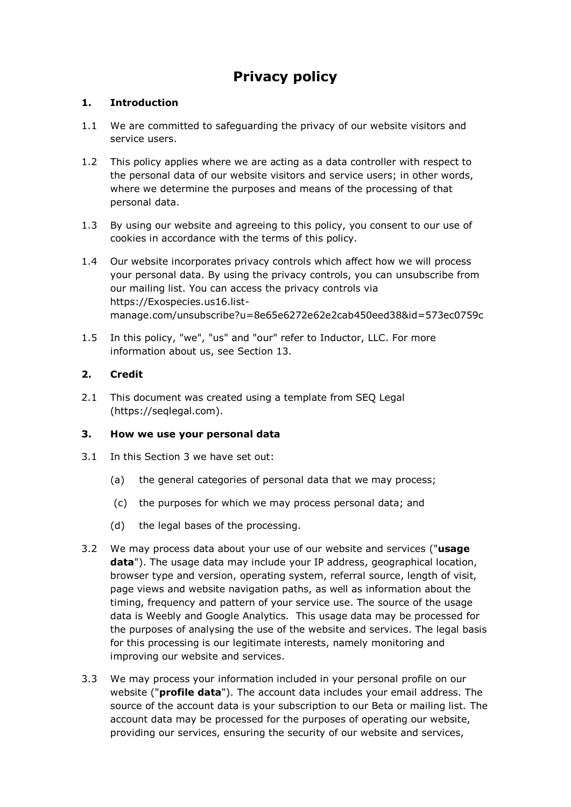# **Privacy policy**

## **1. Introduction**

- 1.1 We are committed to safeguarding the privacy of our website visitors and service users.
- 1.2 This policy applies where we are acting as a data controller with respect to the personal data of our website visitors and service users; in other words, where we determine the purposes and means of the processing of that personal data.
- 1.3 By using our website and agreeing to this policy, you consent to our use of cookies in accordance with the terms of this policy.
- 1.4 Our website incorporates privacy controls which affect how we will process your personal data. By using the privacy controls, you can unsubscribe from our mailing list. You can access the privacy controls via https://Exospecies.us16.listmanage.com/unsubscribe?u=8e65e6272e62e2cab450eed38&id=573ec0759c
- 1.5 In this policy, "we", "us" and "our" refer to Inductor, LLC. For more information about us, see Section 13.

## **2. Credit**

2.1 This document was created using a template from SEQ Legal (https://seqlegal.com).

#### **3. How we use your personal data**

- 3.1 In this Section 3 we have set out:
	- (a) the general categories of personal data that we may process;
	- (c) the purposes for which we may process personal data; and
	- (d) the legal bases of the processing.
- 3.2 We may process data about your use of our website and services ("**usage data**"). The usage data may include your IP address, geographical location, browser type and version, operating system, referral source, length of visit, page views and website navigation paths, as well as information about the timing, frequency and pattern of your service use. The source of the usage data is Weebly and Google Analytics. This usage data may be processed for the purposes of analysing the use of the website and services. The legal basis for this processing is our legitimate interests, namely monitoring and improving our website and services.
- 3.3 We may process your information included in your personal profile on our website ("**profile data**"). The account data includes your email address. The source of the account data is your subscription to our Beta or mailing list. The account data may be processed for the purposes of operating our website, providing our services, ensuring the security of our website and services,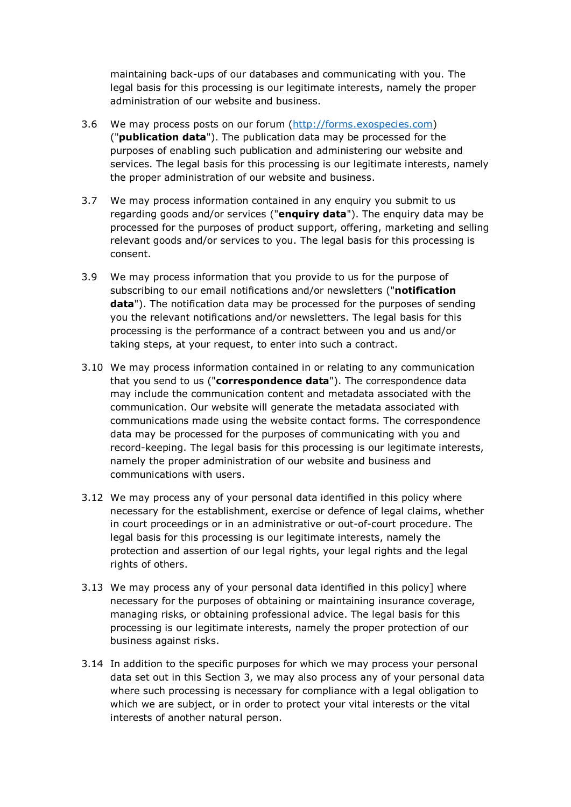maintaining back-ups of our databases and communicating with you. The legal basis for this processing is our legitimate interests, namely the proper administration of our website and business.

- 3.6 We may process posts on our forum [\(http://forms.exospecies.com\)](http://forms.exospecies.com/) ("**publication data**"). The publication data may be processed for the purposes of enabling such publication and administering our website and services. The legal basis for this processing is our legitimate interests, namely the proper administration of our website and business.
- 3.7 We may process information contained in any enquiry you submit to us regarding goods and/or services ("**enquiry data**"). The enquiry data may be processed for the purposes of product support, offering, marketing and selling relevant goods and/or services to you. The legal basis for this processing is consent.
- 3.9 We may process information that you provide to us for the purpose of subscribing to our email notifications and/or newsletters ("**notification data**"). The notification data may be processed for the purposes of sending you the relevant notifications and/or newsletters. The legal basis for this processing is the performance of a contract between you and us and/or taking steps, at your request, to enter into such a contract.
- 3.10 We may process information contained in or relating to any communication that you send to us ("**correspondence data**"). The correspondence data may include the communication content and metadata associated with the communication. Our website will generate the metadata associated with communications made using the website contact forms. The correspondence data may be processed for the purposes of communicating with you and record-keeping. The legal basis for this processing is our legitimate interests, namely the proper administration of our website and business and communications with users.
- 3.12 We may process any of your personal data identified in this policy where necessary for the establishment, exercise or defence of legal claims, whether in court proceedings or in an administrative or out-of-court procedure. The legal basis for this processing is our legitimate interests, namely the protection and assertion of our legal rights, your legal rights and the legal rights of others.
- 3.13 We may process any of your personal data identified in this policy] where necessary for the purposes of obtaining or maintaining insurance coverage, managing risks, or obtaining professional advice. The legal basis for this processing is our legitimate interests, namely the proper protection of our business against risks.
- 3.14 In addition to the specific purposes for which we may process your personal data set out in this Section 3, we may also process any of your personal data where such processing is necessary for compliance with a legal obligation to which we are subject, or in order to protect your vital interests or the vital interests of another natural person.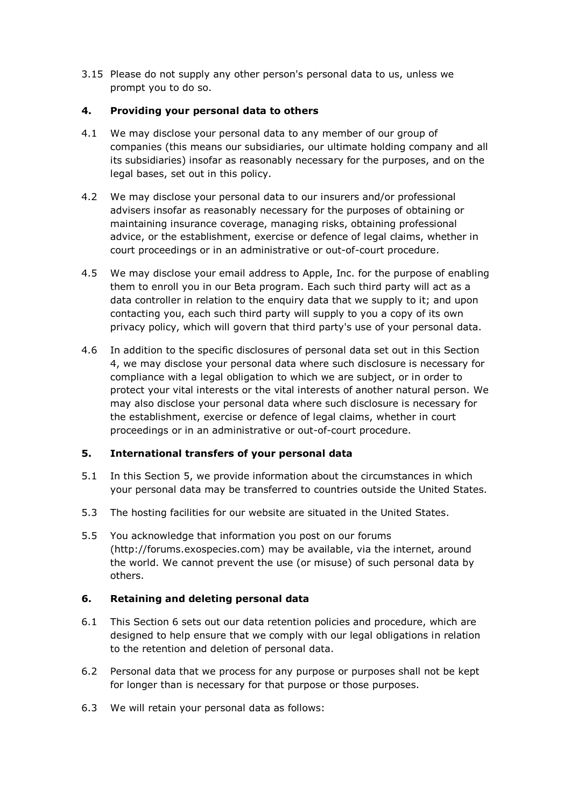3.15 Please do not supply any other person's personal data to us, unless we prompt you to do so.

#### **4. Providing your personal data to others**

- 4.1 We may disclose your personal data to any member of our group of companies (this means our subsidiaries, our ultimate holding company and all its subsidiaries) insofar as reasonably necessary for the purposes, and on the legal bases, set out in this policy.
- 4.2 We may disclose your personal data to our insurers and/or professional advisers insofar as reasonably necessary for the purposes of obtaining or maintaining insurance coverage, managing risks, obtaining professional advice, or the establishment, exercise or defence of legal claims, whether in court proceedings or in an administrative or out-of-court procedure.
- 4.5 We may disclose your email address to Apple, Inc. for the purpose of enabling them to enroll you in our Beta program. Each such third party will act as a data controller in relation to the enquiry data that we supply to it; and upon contacting you, each such third party will supply to you a copy of its own privacy policy, which will govern that third party's use of your personal data.
- 4.6 In addition to the specific disclosures of personal data set out in this Section 4, we may disclose your personal data where such disclosure is necessary for compliance with a legal obligation to which we are subject, or in order to protect your vital interests or the vital interests of another natural person. We may also disclose your personal data where such disclosure is necessary for the establishment, exercise or defence of legal claims, whether in court proceedings or in an administrative or out-of-court procedure.

# **5. International transfers of your personal data**

- 5.1 In this Section 5, we provide information about the circumstances in which your personal data may be transferred to countries outside the United States.
- 5.3 The hosting facilities for our website are situated in the United States.
- 5.5 You acknowledge that information you post on our forums (http://forums.exospecies.com) may be available, via the internet, around the world. We cannot prevent the use (or misuse) of such personal data by others.

# **6. Retaining and deleting personal data**

- 6.1 This Section 6 sets out our data retention policies and procedure, which are designed to help ensure that we comply with our legal obligations in relation to the retention and deletion of personal data.
- 6.2 Personal data that we process for any purpose or purposes shall not be kept for longer than is necessary for that purpose or those purposes.
- 6.3 We will retain your personal data as follows: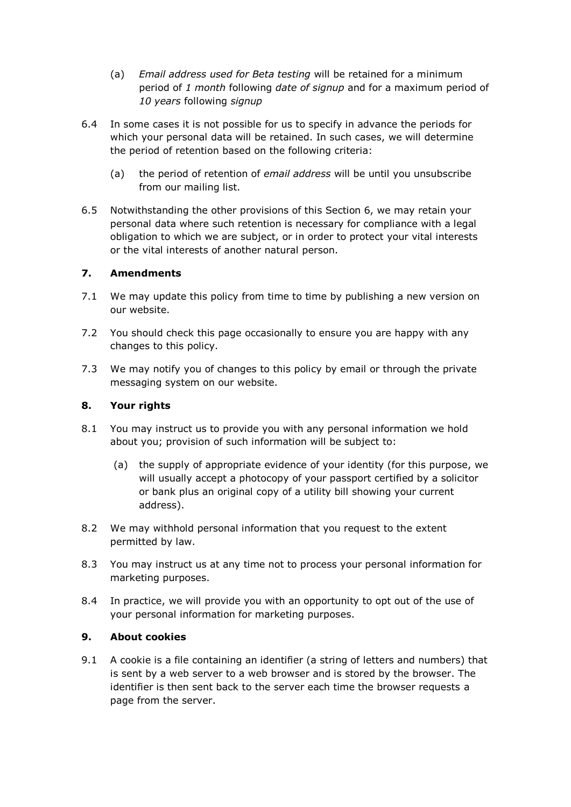- (a) *Email address used for Beta testing* will be retained for a minimum period of *1 month* following *date of signup* and for a maximum period of *10 years* following *signup*
- 6.4 In some cases it is not possible for us to specify in advance the periods for which your personal data will be retained. In such cases, we will determine the period of retention based on the following criteria:
	- (a) the period of retention of *email address* will be until you unsubscribe from our mailing list.
- 6.5 Notwithstanding the other provisions of this Section 6, we may retain your personal data where such retention is necessary for compliance with a legal obligation to which we are subject, or in order to protect your vital interests or the vital interests of another natural person.

#### **7. Amendments**

- 7.1 We may update this policy from time to time by publishing a new version on our website.
- 7.2 You should check this page occasionally to ensure you are happy with any changes to this policy.
- 7.3 We may notify you of changes to this policy by email or through the private messaging system on our website.

#### **8. Your rights**

- 8.1 You may instruct us to provide you with any personal information we hold about you; provision of such information will be subject to:
	- (a) the supply of appropriate evidence of your identity (for this purpose, we will usually accept a photocopy of your passport certified by a solicitor or bank plus an original copy of a utility bill showing your current address).
- 8.2 We may withhold personal information that you request to the extent permitted by law.
- 8.3 You may instruct us at any time not to process your personal information for marketing purposes.
- 8.4 In practice, we will provide you with an opportunity to opt out of the use of your personal information for marketing purposes.

#### **9. About cookies**

9.1 A cookie is a file containing an identifier (a string of letters and numbers) that is sent by a web server to a web browser and is stored by the browser. The identifier is then sent back to the server each time the browser requests a page from the server.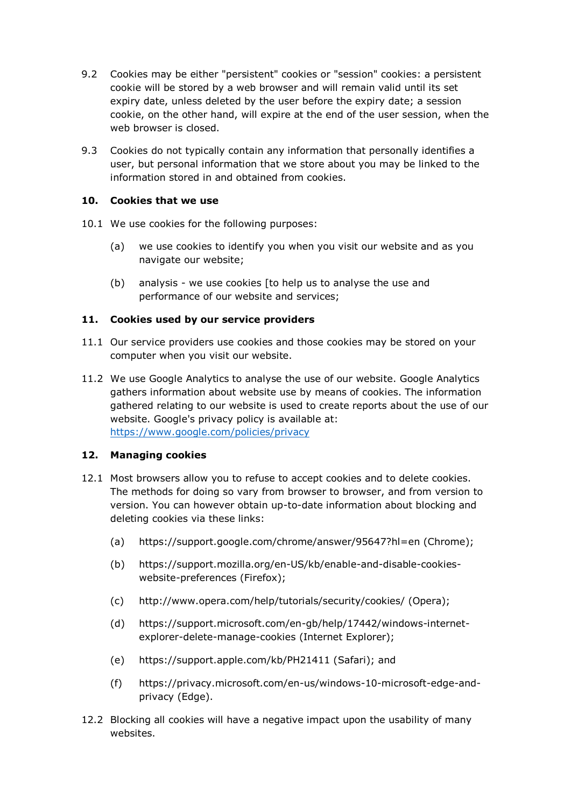- 9.2 Cookies may be either "persistent" cookies or "session" cookies: a persistent cookie will be stored by a web browser and will remain valid until its set expiry date, unless deleted by the user before the expiry date; a session cookie, on the other hand, will expire at the end of the user session, when the web browser is closed.
- 9.3 Cookies do not typically contain any information that personally identifies a user, but personal information that we store about you may be linked to the information stored in and obtained from cookies.

#### **10. Cookies that we use**

- 10.1 We use cookies for the following purposes:
	- (a) we use cookies to identify you when you visit our website and as you navigate our website;
	- (b) analysis we use cookies [to help us to analyse the use and performance of our website and services;

#### **11. Cookies used by our service providers**

- 11.1 Our service providers use cookies and those cookies may be stored on your computer when you visit our website.
- 11.2 We use Google Analytics to analyse the use of our website. Google Analytics gathers information about website use by means of cookies. The information gathered relating to our website is used to create reports about the use of our website. Google's privacy policy is available at: <https://www.google.com/policies/privacy>

#### **12. Managing cookies**

- 12.1 Most browsers allow you to refuse to accept cookies and to delete cookies. The methods for doing so vary from browser to browser, and from version to version. You can however obtain up-to-date information about blocking and deleting cookies via these links:
	- (a) https://support.google.com/chrome/answer/95647?hl=en (Chrome);
	- (b) https://support.mozilla.org/en-US/kb/enable-and-disable-cookieswebsite-preferences (Firefox);
	- (c) http://www.opera.com/help/tutorials/security/cookies/ (Opera);
	- (d) https://support.microsoft.com/en-gb/help/17442/windows-internetexplorer-delete-manage-cookies (Internet Explorer);
	- (e) https://support.apple.com/kb/PH21411 (Safari); and
	- (f) https://privacy.microsoft.com/en-us/windows-10-microsoft-edge-andprivacy (Edge).
- 12.2 Blocking all cookies will have a negative impact upon the usability of many websites.